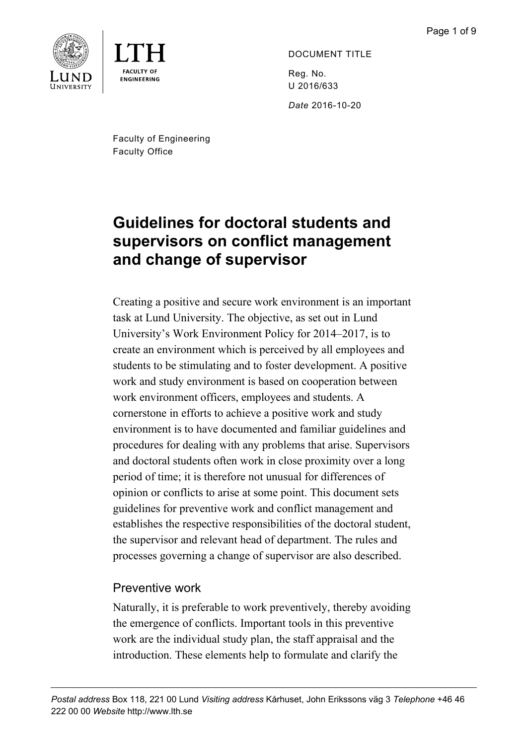

**ENGINEERING** 

DOCUMENT TITLE Reg. No. U 2016/633

*Date* 2016-10-20

Faculty of Engineering Faculty Office

# **Guidelines for doctoral students and supervisors on conflict management and change of supervisor**

Creating a positive and secure work environment is an important task at Lund University. The objective, as set out in Lund University's Work Environment Policy for 2014–2017, is to create an environment which is perceived by all employees and students to be stimulating and to foster development. A positive work and study environment is based on cooperation between work environment officers, employees and students. A cornerstone in efforts to achieve a positive work and study environment is to have documented and familiar guidelines and procedures for dealing with any problems that arise. Supervisors and doctoral students often work in close proximity over a long period of time; it is therefore not unusual for differences of opinion or conflicts to arise at some point. This document sets guidelines for preventive work and conflict management and establishes the respective responsibilities of the doctoral student, the supervisor and relevant head of department. The rules and processes governing a change of supervisor are also described.

# Preventive work

Naturally, it is preferable to work preventively, thereby avoiding the emergence of conflicts. Important tools in this preventive work are the individual study plan, the staff appraisal and the introduction. These elements help to formulate and clarify the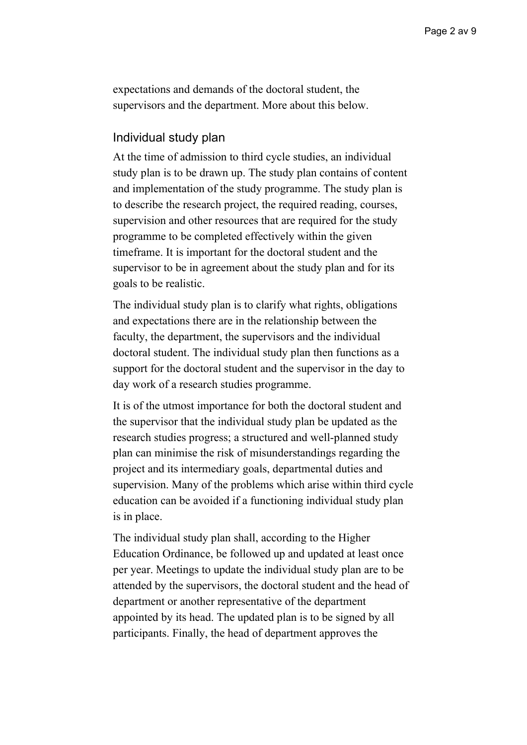expectations and demands of the doctoral student, the supervisors and the department. More about this below.

#### Individual study plan

At the time of admission to third cycle studies, an individual study plan is to be drawn up. The study plan contains of content and implementation of the study programme. The study plan is to describe the research project, the required reading, courses, supervision and other resources that are required for the study programme to be completed effectively within the given timeframe. It is important for the doctoral student and the supervisor to be in agreement about the study plan and for its goals to be realistic.

The individual study plan is to clarify what rights, obligations and expectations there are in the relationship between the faculty, the department, the supervisors and the individual doctoral student. The individual study plan then functions as a support for the doctoral student and the supervisor in the day to day work of a research studies programme.

It is of the utmost importance for both the doctoral student and the supervisor that the individual study plan be updated as the research studies progress; a structured and well-planned study plan can minimise the risk of misunderstandings regarding the project and its intermediary goals, departmental duties and supervision. Many of the problems which arise within third cycle education can be avoided if a functioning individual study plan is in place.

The individual study plan shall, according to the Higher Education Ordinance, be followed up and updated at least once per year. Meetings to update the individual study plan are to be attended by the supervisors, the doctoral student and the head of department or another representative of the department appointed by its head. The updated plan is to be signed by all participants. Finally, the head of department approves the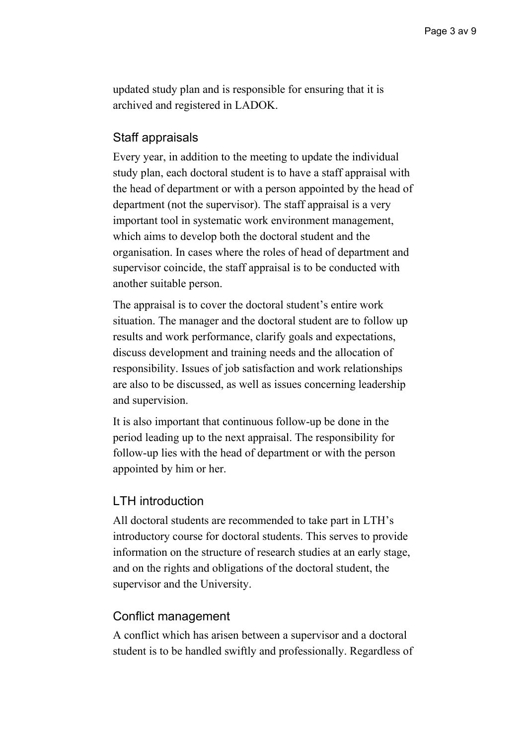updated study plan and is responsible for ensuring that it is archived and registered in LADOK.

## Staff appraisals

Every year, in addition to the meeting to update the individual study plan, each doctoral student is to have a staff appraisal with the head of department or with a person appointed by the head of department (not the supervisor). The staff appraisal is a very important tool in systematic work environment management, which aims to develop both the doctoral student and the organisation. In cases where the roles of head of department and supervisor coincide, the staff appraisal is to be conducted with another suitable person.

The appraisal is to cover the doctoral student's entire work situation. The manager and the doctoral student are to follow up results and work performance, clarify goals and expectations, discuss development and training needs and the allocation of responsibility. Issues of job satisfaction and work relationships are also to be discussed, as well as issues concerning leadership and supervision.

It is also important that continuous follow-up be done in the period leading up to the next appraisal. The responsibility for follow-up lies with the head of department or with the person appointed by him or her.

### LTH introduction

All doctoral students are recommended to take part in LTH's introductory course for doctoral students. This serves to provide information on the structure of research studies at an early stage, and on the rights and obligations of the doctoral student, the supervisor and the University.

### Conflict management

A conflict which has arisen between a supervisor and a doctoral student is to be handled swiftly and professionally. Regardless of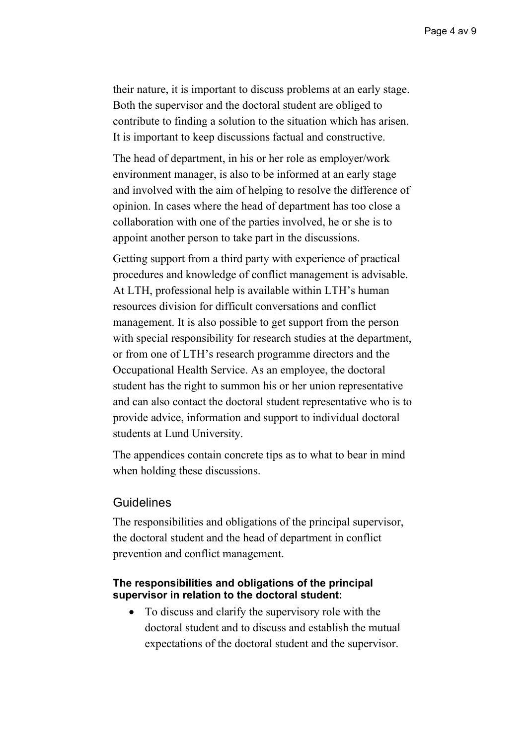their nature, it is important to discuss problems at an early stage. Both the supervisor and the doctoral student are obliged to contribute to finding a solution to the situation which has arisen. It is important to keep discussions factual and constructive.

The head of department, in his or her role as employer/work environment manager, is also to be informed at an early stage and involved with the aim of helping to resolve the difference of opinion. In cases where the head of department has too close a collaboration with one of the parties involved, he or she is to appoint another person to take part in the discussions.

Getting support from a third party with experience of practical procedures and knowledge of conflict management is advisable. At LTH, professional help is available within LTH's human resources division for difficult conversations and conflict management. It is also possible to get support from the person with special responsibility for research studies at the department, or from one of LTH's research programme directors and the Occupational Health Service. As an employee, the doctoral student has the right to summon his or her union representative and can also contact the doctoral student representative who is to provide advice, information and support to individual doctoral students at Lund University.

The appendices contain concrete tips as to what to bear in mind when holding these discussions.

#### Guidelines

The responsibilities and obligations of the principal supervisor, the doctoral student and the head of department in conflict prevention and conflict management.

#### **The responsibilities and obligations of the principal supervisor in relation to the doctoral student:**

• To discuss and clarify the supervisory role with the doctoral student and to discuss and establish the mutual expectations of the doctoral student and the supervisor.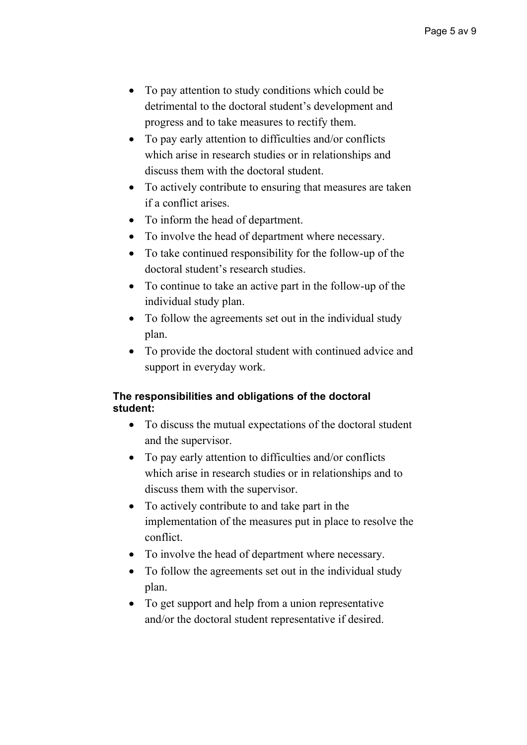- To pay attention to study conditions which could be detrimental to the doctoral student's development and progress and to take measures to rectify them.
- To pay early attention to difficulties and/or conflicts which arise in research studies or in relationships and discuss them with the doctoral student.
- To actively contribute to ensuring that measures are taken if a conflict arises.
- To inform the head of department.
- To involve the head of department where necessary.
- To take continued responsibility for the follow-up of the doctoral student's research studies.
- To continue to take an active part in the follow-up of the individual study plan.
- To follow the agreements set out in the individual study plan.
- To provide the doctoral student with continued advice and support in everyday work.

### **The responsibilities and obligations of the doctoral student:**

- To discuss the mutual expectations of the doctoral student and the supervisor.
- To pay early attention to difficulties and/or conflicts which arise in research studies or in relationships and to discuss them with the supervisor.
- To actively contribute to and take part in the implementation of the measures put in place to resolve the conflict.
- To involve the head of department where necessary.
- To follow the agreements set out in the individual study plan.
- To get support and help from a union representative and/or the doctoral student representative if desired.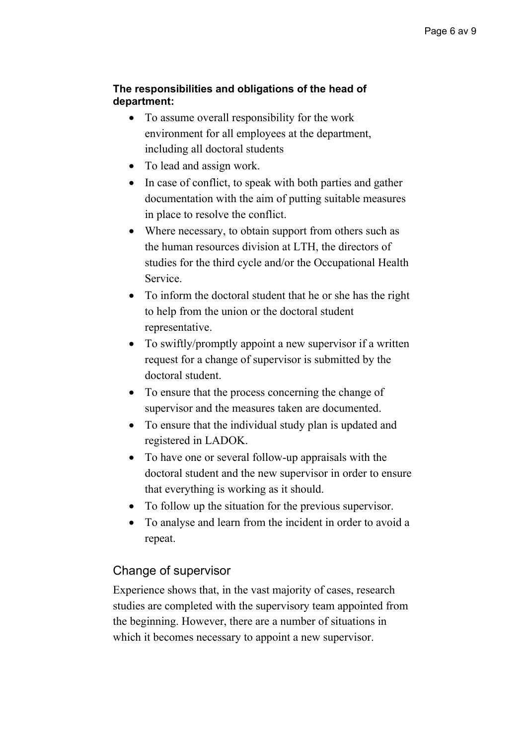## **The responsibilities and obligations of the head of department:**

- To assume overall responsibility for the work environment for all employees at the department, including all doctoral students
- To lead and assign work.
- In case of conflict, to speak with both parties and gather documentation with the aim of putting suitable measures in place to resolve the conflict.
- Where necessary, to obtain support from others such as the human resources division at LTH, the directors of studies for the third cycle and/or the Occupational Health Service.
- To inform the doctoral student that he or she has the right to help from the union or the doctoral student representative.
- To swiftly/promptly appoint a new supervisor if a written request for a change of supervisor is submitted by the doctoral student.
- To ensure that the process concerning the change of supervisor and the measures taken are documented.
- To ensure that the individual study plan is updated and registered in LADOK.
- To have one or several follow-up appraisals with the doctoral student and the new supervisor in order to ensure that everything is working as it should.
- To follow up the situation for the previous supervisor.
- To analyse and learn from the incident in order to avoid a repeat.

# Change of supervisor

Experience shows that, in the vast majority of cases, research studies are completed with the supervisory team appointed from the beginning. However, there are a number of situations in which it becomes necessary to appoint a new supervisor.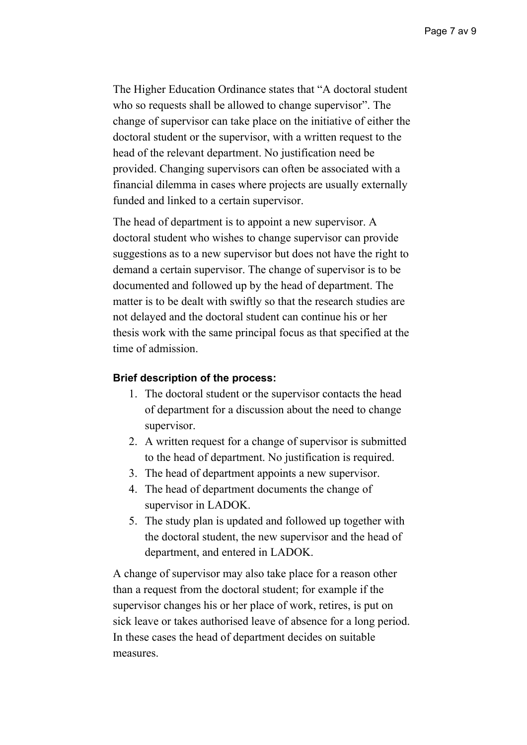The Higher Education Ordinance states that "A doctoral student who so requests shall be allowed to change supervisor". The change of supervisor can take place on the initiative of either the doctoral student or the supervisor, with a written request to the head of the relevant department. No justification need be provided. Changing supervisors can often be associated with a financial dilemma in cases where projects are usually externally funded and linked to a certain supervisor.

The head of department is to appoint a new supervisor. A doctoral student who wishes to change supervisor can provide suggestions as to a new supervisor but does not have the right to demand a certain supervisor. The change of supervisor is to be documented and followed up by the head of department. The matter is to be dealt with swiftly so that the research studies are not delayed and the doctoral student can continue his or her thesis work with the same principal focus as that specified at the time of admission.

#### **Brief description of the process:**

- 1. The doctoral student or the supervisor contacts the head of department for a discussion about the need to change supervisor.
- 2. A written request for a change of supervisor is submitted to the head of department. No justification is required.
- 3. The head of department appoints a new supervisor.
- 4. The head of department documents the change of supervisor in LADOK.
- 5. The study plan is updated and followed up together with the doctoral student, the new supervisor and the head of department, and entered in LADOK.

A change of supervisor may also take place for a reason other than a request from the doctoral student; for example if the supervisor changes his or her place of work, retires, is put on sick leave or takes authorised leave of absence for a long period. In these cases the head of department decides on suitable measures.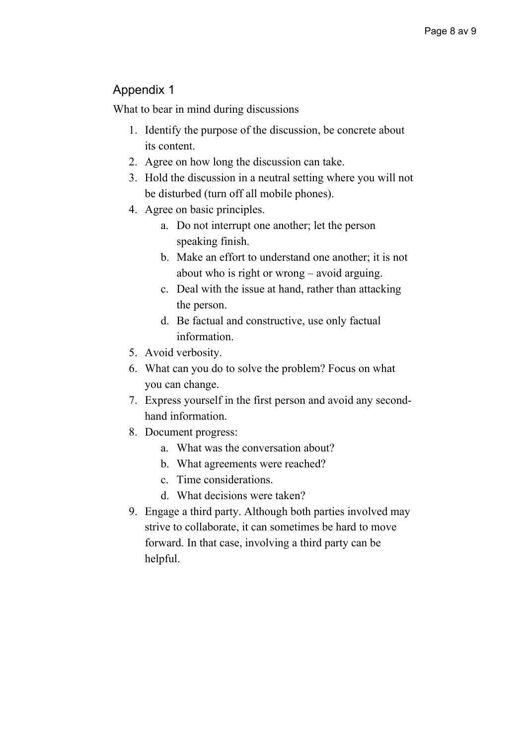# Appendix 1

What to bear in mind during discussions

- 1. Identify the purpose of the discussion, be concrete about its content.
- 2. Agree on how long the discussion can take.
- 3. Hold the discussion in a neutral setting where you will not be disturbed (turn off all mobile phones).
- 4. Agree on basic principles.
	- a. Do not interrupt one another; let the person speaking finish.
	- b. Make an effort to understand one another; it is not about who is right or wrong – avoid arguing.
	- c. Deal with the issue at hand, rather than attacking the person.
	- d. Be factual and constructive, use only factual information.
- 5. Avoid verbosity.
- 6. What can you do to solve the problem? Focus on what you can change.
- 7. Express yourself in the first person and avoid any secondhand information.
- 8. Document progress:
	- a. What was the conversation about?
	- b. What agreements were reached?
	- c. Time considerations.
	- d. What decisions were taken?
- 9. Engage a third party. Although both parties involved may strive to collaborate, it can sometimes be hard to move forward. In that case, involving a third party can be helpful.